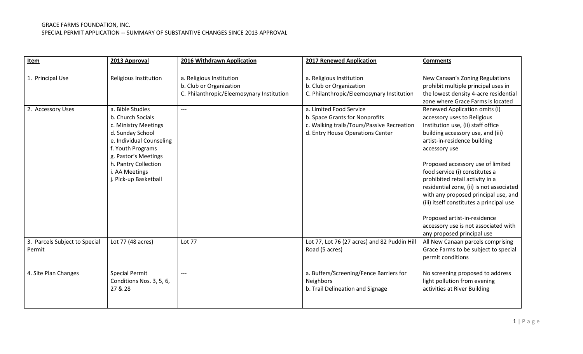| Item                                    | 2013 Approval                                                                                                                                                                                                                 | 2016 Withdrawn Application                                                                       | <b>2017 Renewed Application</b>                                                                                                             | <b>Comments</b>                                                                                                                                                                                                                                                                                                                                                                                                                                                                                                                          |
|-----------------------------------------|-------------------------------------------------------------------------------------------------------------------------------------------------------------------------------------------------------------------------------|--------------------------------------------------------------------------------------------------|---------------------------------------------------------------------------------------------------------------------------------------------|------------------------------------------------------------------------------------------------------------------------------------------------------------------------------------------------------------------------------------------------------------------------------------------------------------------------------------------------------------------------------------------------------------------------------------------------------------------------------------------------------------------------------------------|
| 1. Principal Use                        | Religious Institution                                                                                                                                                                                                         | a. Religious Institution<br>b. Club or Organization<br>C. Philanthropic/Eleemosynary Institution | a. Religious Institution<br>b. Club or Organization<br>C. Philanthropic/Eleemosynary Institution                                            | New Canaan's Zoning Regulations<br>prohibit multiple principal uses in<br>the lowest density 4-acre residential<br>zone where Grace Farms is located                                                                                                                                                                                                                                                                                                                                                                                     |
| 2. Accessory Uses                       | a. Bible Studies<br>b. Church Socials<br>c. Ministry Meetings<br>d. Sunday School<br>e. Individual Counseling<br>f. Youth Programs<br>g. Pastor's Meetings<br>h. Pantry Collection<br>i. AA Meetings<br>j. Pick-up Basketball |                                                                                                  | a. Limited Food Service<br>b. Space Grants for Nonprofits<br>c. Walking trails/Tours/Passive Recreation<br>d. Entry House Operations Center | Renewed Application omits (i)<br>accessory uses to Religious<br>Institution use, (ii) staff office<br>building accessory use, and (iii)<br>artist-in-residence building<br>accessory use<br>Proposed accessory use of limited<br>food service (i) constitutes a<br>prohibited retail activity in a<br>residential zone, (ii) is not associated<br>with any proposed principal use, and<br>(iii) itself constitutes a principal use<br>Proposed artist-in-residence<br>accessory use is not associated with<br>any proposed principal use |
| 3. Parcels Subject to Special<br>Permit | Lot 77 (48 acres)                                                                                                                                                                                                             | Lot 77                                                                                           | Lot 77, Lot 76 (27 acres) and 82 Puddin Hill<br>Road (5 acres)                                                                              | All New Canaan parcels comprising<br>Grace Farms to be subject to special<br>permit conditions                                                                                                                                                                                                                                                                                                                                                                                                                                           |
| 4. Site Plan Changes                    | <b>Special Permit</b><br>Conditions Nos. 3, 5, 6,<br>27 & 28                                                                                                                                                                  | $---$                                                                                            | a. Buffers/Screening/Fence Barriers for<br>Neighbors<br>b. Trail Delineation and Signage                                                    | No screening proposed to address<br>light pollution from evening<br>activities at River Building                                                                                                                                                                                                                                                                                                                                                                                                                                         |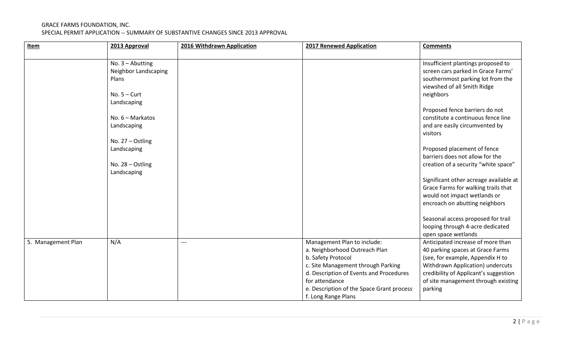| Item               | 2013 Approval                                       | 2016 Withdrawn Application | <b>2017 Renewed Application</b>                                                                                                                                                                                                                           | <b>Comments</b>                                                                                                                                                                                                                          |
|--------------------|-----------------------------------------------------|----------------------------|-----------------------------------------------------------------------------------------------------------------------------------------------------------------------------------------------------------------------------------------------------------|------------------------------------------------------------------------------------------------------------------------------------------------------------------------------------------------------------------------------------------|
|                    |                                                     |                            |                                                                                                                                                                                                                                                           |                                                                                                                                                                                                                                          |
|                    | No. $3 -$ Abutting<br>Neighbor Landscaping<br>Plans |                            |                                                                                                                                                                                                                                                           | Insufficient plantings proposed to<br>screen cars parked in Grace Farms'<br>southernmost parking lot from the<br>viewshed of all Smith Ridge                                                                                             |
|                    | No. $5 -$ Curt                                      |                            |                                                                                                                                                                                                                                                           | neighbors                                                                                                                                                                                                                                |
|                    | Landscaping                                         |                            |                                                                                                                                                                                                                                                           |                                                                                                                                                                                                                                          |
|                    | No. $6 -$ Markatos<br>Landscaping                   |                            |                                                                                                                                                                                                                                                           | Proposed fence barriers do not<br>constitute a continuous fence line<br>and are easily circumvented by<br>visitors                                                                                                                       |
|                    | No. 27 - Ostling<br>Landscaping<br>No. 28 - Ostling |                            |                                                                                                                                                                                                                                                           | Proposed placement of fence<br>barriers does not allow for the<br>creation of a security "white space"                                                                                                                                   |
|                    | Landscaping                                         |                            |                                                                                                                                                                                                                                                           | Significant other acreage available at<br>Grace Farms for walking trails that<br>would not impact wetlands or<br>encroach on abutting neighbors                                                                                          |
|                    |                                                     |                            |                                                                                                                                                                                                                                                           | Seasonal access proposed for trail<br>looping through 4-acre dedicated<br>open space wetlands                                                                                                                                            |
| 5. Management Plan | N/A                                                 | $---$                      | Management Plan to include:<br>a. Neighborhood Outreach Plan<br>b. Safety Protocol<br>c. Site Management through Parking<br>d. Description of Events and Procedures<br>for attendance<br>e. Description of the Space Grant process<br>f. Long Range Plans | Anticipated increase of more than<br>40 parking spaces at Grace Farms<br>(see, for example, Appendix H to<br>Withdrawn Application) undercuts<br>credibility of Applicant's suggestion<br>of site management through existing<br>parking |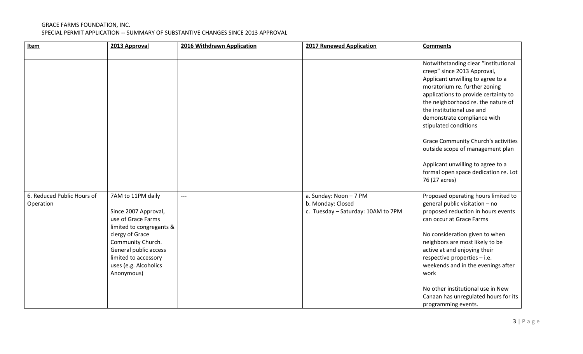| Item                                    | 2013 Approval                                                                                                                                                                                                               | 2016 Withdrawn Application | <b>2017 Renewed Application</b>                                                   | <b>Comments</b>                                                                                                                                                                                                                                                                                                                                                                                                                                                                              |
|-----------------------------------------|-----------------------------------------------------------------------------------------------------------------------------------------------------------------------------------------------------------------------------|----------------------------|-----------------------------------------------------------------------------------|----------------------------------------------------------------------------------------------------------------------------------------------------------------------------------------------------------------------------------------------------------------------------------------------------------------------------------------------------------------------------------------------------------------------------------------------------------------------------------------------|
|                                         |                                                                                                                                                                                                                             |                            |                                                                                   |                                                                                                                                                                                                                                                                                                                                                                                                                                                                                              |
|                                         |                                                                                                                                                                                                                             |                            |                                                                                   | Notwithstanding clear "institutional<br>creep" since 2013 Approval,<br>Applicant unwilling to agree to a<br>moratorium re. further zoning<br>applications to provide certainty to<br>the neighborhood re. the nature of<br>the institutional use and<br>demonstrate compliance with<br>stipulated conditions<br><b>Grace Community Church's activities</b><br>outside scope of management plan<br>Applicant unwilling to agree to a<br>formal open space dedication re. Lot<br>76 (27 acres) |
| 6. Reduced Public Hours of<br>Operation | 7AM to 11PM daily<br>Since 2007 Approval,<br>use of Grace Farms<br>limited to congregants &<br>clergy of Grace<br>Community Church.<br>General public access<br>limited to accessory<br>uses (e.g. Alcoholics<br>Anonymous) | $---$                      | a. Sunday: Noon - 7 PM<br>b. Monday: Closed<br>c. Tuesday - Saturday: 10AM to 7PM | Proposed operating hours limited to<br>general public visitation - no<br>proposed reduction in hours events<br>can occur at Grace Farms<br>No consideration given to when<br>neighbors are most likely to be<br>active at and enjoying their<br>respective properties - i.e.<br>weekends and in the evenings after<br>work<br>No other institutional use in New<br>Canaan has unregulated hours for its<br>programming events.                                                               |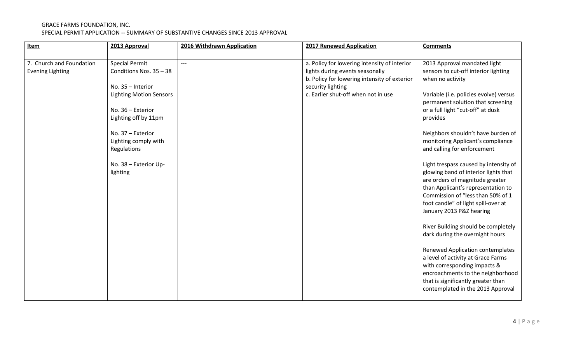| Item                                                | 2013 Approval                                                                                                                                                                                                                                         | 2016 Withdrawn Application | <b>2017 Renewed Application</b>                                                                                                                                                             | <b>Comments</b>                                                                                                                                                                                                                                                                                                                                                                                                                                                                                                                                                                                                                                                                                                                                                                                                                                                                                          |
|-----------------------------------------------------|-------------------------------------------------------------------------------------------------------------------------------------------------------------------------------------------------------------------------------------------------------|----------------------------|---------------------------------------------------------------------------------------------------------------------------------------------------------------------------------------------|----------------------------------------------------------------------------------------------------------------------------------------------------------------------------------------------------------------------------------------------------------------------------------------------------------------------------------------------------------------------------------------------------------------------------------------------------------------------------------------------------------------------------------------------------------------------------------------------------------------------------------------------------------------------------------------------------------------------------------------------------------------------------------------------------------------------------------------------------------------------------------------------------------|
|                                                     |                                                                                                                                                                                                                                                       |                            |                                                                                                                                                                                             |                                                                                                                                                                                                                                                                                                                                                                                                                                                                                                                                                                                                                                                                                                                                                                                                                                                                                                          |
| 7. Church and Foundation<br><b>Evening Lighting</b> | <b>Special Permit</b><br>Conditions Nos. 35 - 38<br>No. 35 - Interior<br><b>Lighting Motion Sensors</b><br>No. 36 - Exterior<br>Lighting off by 11pm<br>No. 37 - Exterior<br>Lighting comply with<br>Regulations<br>No. 38 - Exterior Up-<br>lighting | $---$                      | a. Policy for lowering intensity of interior<br>lights during events seasonally<br>b. Policy for lowering intensity of exterior<br>security lighting<br>c. Earlier shut-off when not in use | 2013 Approval mandated light<br>sensors to cut-off interior lighting<br>when no activity<br>Variable (i.e. policies evolve) versus<br>permanent solution that screening<br>or a full light "cut-off" at dusk<br>provides<br>Neighbors shouldn't have burden of<br>monitoring Applicant's compliance<br>and calling for enforcement<br>Light trespass caused by intensity of<br>glowing band of interior lights that<br>are orders of magnitude greater<br>than Applicant's representation to<br>Commission of "less than 50% of 1<br>foot candle" of light spill-over at<br>January 2013 P&Z hearing<br>River Building should be completely<br>dark during the overnight hours<br>Renewed Application contemplates<br>a level of activity at Grace Farms<br>with corresponding impacts &<br>encroachments to the neighborhood<br>that is significantly greater than<br>contemplated in the 2013 Approval |
|                                                     |                                                                                                                                                                                                                                                       |                            |                                                                                                                                                                                             |                                                                                                                                                                                                                                                                                                                                                                                                                                                                                                                                                                                                                                                                                                                                                                                                                                                                                                          |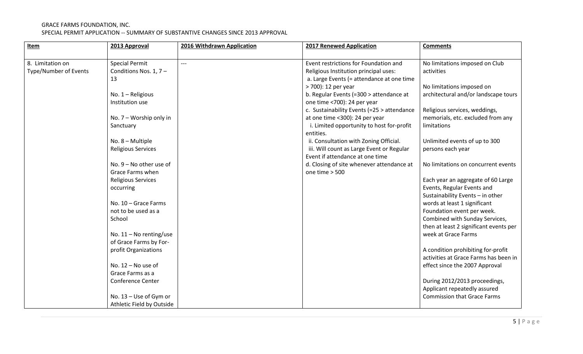| Item                  | 2013 Approval             | 2016 Withdrawn Application | <b>2017 Renewed Application</b>                                              | <b>Comments</b>                        |
|-----------------------|---------------------------|----------------------------|------------------------------------------------------------------------------|----------------------------------------|
|                       |                           |                            |                                                                              |                                        |
| 8. Limitation on      | <b>Special Permit</b>     | $---$                      | Event restrictions for Foundation and                                        | No limitations imposed on Club         |
| Type/Number of Events | Conditions Nos. 1, 7-     |                            | Religious Institution principal uses:                                        | activities                             |
|                       | 13                        |                            | a. Large Events (= attendance at one time                                    |                                        |
|                       |                           |                            | > 700): 12 per year                                                          | No limitations imposed on              |
|                       | No. 1 - Religious         |                            | b. Regular Events (=300 > attendance at                                      | architectural and/or landscape tours   |
|                       | Institution use           |                            | one time <700): 24 per year                                                  |                                        |
|                       |                           |                            | c. Sustainability Events (=25 > attendance                                   | Religious services, weddings,          |
|                       | No. $7 -$ Worship only in |                            | at one time <300): 24 per year                                               | memorials, etc. excluded from any      |
|                       | Sanctuary                 |                            | i. Limited opportunity to host for-profit                                    | limitations                            |
|                       |                           |                            | entities.                                                                    |                                        |
|                       | No. 8 - Multiple          |                            | ii. Consultation with Zoning Official.                                       | Unlimited events of up to 300          |
|                       | <b>Religious Services</b> |                            | iii. Will count as Large Event or Regular<br>Event if attendance at one time | persons each year                      |
|                       | No. $9 -$ No other use of |                            | d. Closing of site whenever attendance at                                    | No limitations on concurrent events    |
|                       | Grace Farms when          |                            | one time > 500                                                               |                                        |
|                       | <b>Religious Services</b> |                            |                                                                              | Each year an aggregate of 60 Large     |
|                       | occurring                 |                            |                                                                              | Events, Regular Events and             |
|                       |                           |                            |                                                                              | Sustainability Events - in other       |
|                       | No. 10 - Grace Farms      |                            |                                                                              | words at least 1 significant           |
|                       | not to be used as a       |                            |                                                                              | Foundation event per week.             |
|                       | School                    |                            |                                                                              | Combined with Sunday Services,         |
|                       |                           |                            |                                                                              | then at least 2 significant events per |
|                       | No. $11 -$ No renting/use |                            |                                                                              | week at Grace Farms                    |
|                       | of Grace Farms by For-    |                            |                                                                              |                                        |
|                       | profit Organizations      |                            |                                                                              | A condition prohibiting for-profit     |
|                       |                           |                            |                                                                              | activities at Grace Farms has been in  |
|                       | No. $12 -$ No use of      |                            |                                                                              | effect since the 2007 Approval         |
|                       | Grace Farms as a          |                            |                                                                              |                                        |
|                       | <b>Conference Center</b>  |                            |                                                                              | During 2012/2013 proceedings,          |
|                       |                           |                            |                                                                              | Applicant repeatedly assured           |
|                       | No. 13 - Use of Gym or    |                            |                                                                              | <b>Commission that Grace Farms</b>     |
|                       | Athletic Field by Outside |                            |                                                                              |                                        |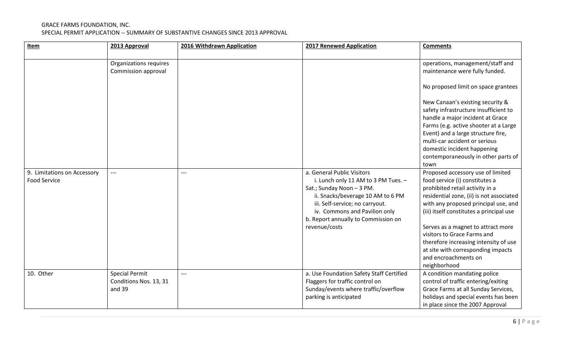| <b>Item</b>                                        | 2013 Approval                                             | 2016 Withdrawn Application | <b>2017 Renewed Application</b>                                                                                                                                                                                                                                 | <b>Comments</b>                                                                                                                                                                                                                                                                                                                                                                                                                    |
|----------------------------------------------------|-----------------------------------------------------------|----------------------------|-----------------------------------------------------------------------------------------------------------------------------------------------------------------------------------------------------------------------------------------------------------------|------------------------------------------------------------------------------------------------------------------------------------------------------------------------------------------------------------------------------------------------------------------------------------------------------------------------------------------------------------------------------------------------------------------------------------|
|                                                    |                                                           |                            |                                                                                                                                                                                                                                                                 |                                                                                                                                                                                                                                                                                                                                                                                                                                    |
|                                                    | Organizations requires                                    |                            |                                                                                                                                                                                                                                                                 | operations, management/staff and                                                                                                                                                                                                                                                                                                                                                                                                   |
|                                                    | Commission approval                                       |                            |                                                                                                                                                                                                                                                                 | maintenance were fully funded.                                                                                                                                                                                                                                                                                                                                                                                                     |
|                                                    |                                                           |                            |                                                                                                                                                                                                                                                                 | No proposed limit on space grantees                                                                                                                                                                                                                                                                                                                                                                                                |
|                                                    |                                                           |                            |                                                                                                                                                                                                                                                                 | New Canaan's existing security &<br>safety infrastructure insufficient to<br>handle a major incident at Grace<br>Farms (e.g. active shooter at a Large<br>Event) and a large structure fire,<br>multi-car accident or serious<br>domestic incident happening<br>contemporaneously in other parts of<br>town                                                                                                                        |
| 9. Limitations on Accessory<br><b>Food Service</b> | $---$                                                     | $---$                      | a. General Public Visitors<br>i. Lunch only 11 AM to 3 PM Tues. -<br>Sat.; Sunday Noon - 3 PM.<br>ii. Snacks/beverage 10 AM to 6 PM<br>iii. Self-service; no carryout.<br>iv. Commons and Pavilion only<br>b. Report annually to Commission on<br>revenue/costs | Proposed accessory use of limited<br>food service (i) constitutes a<br>prohibited retail activity in a<br>residential zone, (ii) is not associated<br>with any proposed principal use, and<br>(iii) itself constitutes a principal use<br>Serves as a magnet to attract more<br>visitors to Grace Farms and<br>therefore increasing intensity of use<br>at site with corresponding impacts<br>and encroachments on<br>neighborhood |
| 10. Other                                          | <b>Special Permit</b><br>Conditions Nos. 13, 31<br>and 39 | $---$                      | a. Use Foundation Safety Staff Certified<br>Flaggers for traffic control on<br>Sunday/events where traffic/overflow<br>parking is anticipated                                                                                                                   | A condition mandating police<br>control of traffic entering/exiting<br>Grace Farms at all Sunday Services,<br>holidays and special events has been<br>in place since the 2007 Approval                                                                                                                                                                                                                                             |